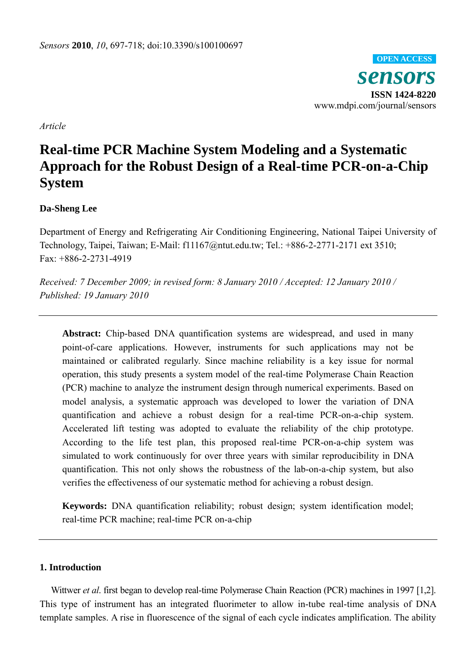*sensors*  **ISSN 1424-8220**  www.mdpi.com/journal/sensors **OPEN ACCESS**

*Article*

# **Real-time PCR Machine System Modeling and a Systematic Approach for the Robust Design of a Real-time PCR-on-a-Chip System**

# **Da-Sheng Lee**

Department of Energy and Refrigerating Air Conditioning Engineering, National Taipei University of Technology, Taipei, Taiwan; E-Mail: f11167@ntut.edu.tw; Tel.: +886-2-2771-2171 ext 3510; Fax: +886-2-2731-4919

*Received: 7 December 2009; in revised form: 8 January 2010 / Accepted: 12 January 2010 / Published: 19 January 2010* 

**Abstract:** Chip-based DNA quantification systems are widespread, and used in many point-of-care applications. However, instruments for such applications may not be maintained or calibrated regularly. Since machine reliability is a key issue for normal operation, this study presents a system model of the real-time Polymerase Chain Reaction (PCR) machine to analyze the instrument design through numerical experiments. Based on model analysis, a systematic approach was developed to lower the variation of DNA quantification and achieve a robust design for a real-time PCR-on-a-chip system. Accelerated lift testing was adopted to evaluate the reliability of the chip prototype. According to the life test plan, this proposed real-time PCR-on-a-chip system was simulated to work continuously for over three years with similar reproducibility in DNA quantification. This not only shows the robustness of the lab-on-a-chip system, but also verifies the effectiveness of our systematic method for achieving a robust design.

**Keywords:** DNA quantification reliability; robust design; system identification model; real-time PCR machine; real-time PCR on-a-chip

## **1. Introduction**

Wittwer *et al*. first began to develop real-time Polymerase Chain Reaction (PCR) machines in 1997 [1,2]. This type of instrument has an integrated fluorimeter to allow in-tube real-time analysis of DNA template samples. A rise in fluorescence of the signal of each cycle indicates amplification. The ability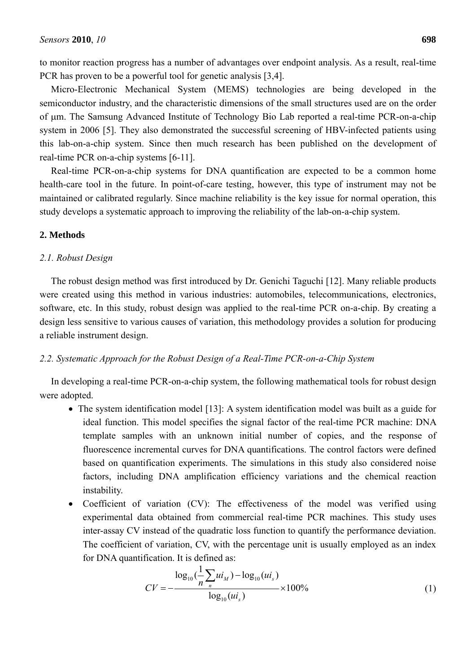to monitor reaction progress has a number of advantages over endpoint analysis. As a result, real-time PCR has proven to be a powerful tool for genetic analysis [3,4].

Micro-Electronic Mechanical System (MEMS) technologies are being developed in the semiconductor industry, and the characteristic dimensions of the small structures used are on the order of μm. The Samsung Advanced Institute of Technology Bio Lab reported a real-time PCR-on-a-chip system in 2006 [5]. They also demonstrated the successful screening of HBV-infected patients using this lab-on-a-chip system. Since then much research has been published on the development of real-time PCR on-a-chip systems [6-11].

Real-time PCR-on-a-chip systems for DNA quantification are expected to be a common home health-care tool in the future. In point-of-care testing, however, this type of instrument may not be maintained or calibrated regularly. Since machine reliability is the key issue for normal operation, this study develops a systematic approach to improving the reliability of the lab-on-a-chip system.

#### **2. Methods**

#### *2.1. Robust Design*

The robust design method was first introduced by Dr. Genichi Taguchi [12]. Many reliable products were created using this method in various industries: automobiles, telecommunications, electronics, software, etc. In this study, robust design was applied to the real-time PCR on-a-chip. By creating a design less sensitive to various causes of variation, this methodology provides a solution for producing a reliable instrument design.

#### *2.2. Systematic Approach for the Robust Design of a Real-Time PCR-on-a-Chip System*

In developing a real-time PCR-on-a-chip system, the following mathematical tools for robust design were adopted.

- The system identification model [13]: A system identification model was built as a guide for ideal function. This model specifies the signal factor of the real-time PCR machine: DNA template samples with an unknown initial number of copies, and the response of fluorescence incremental curves for DNA quantifications. The control factors were defined based on quantification experiments. The simulations in this study also considered noise factors, including DNA amplification efficiency variations and the chemical reaction instability.
- Coefficient of variation (CV): The effectiveness of the model was verified using experimental data obtained from commercial real-time PCR machines. This study uses inter-assay CV instead of the quadratic loss function to quantify the performance deviation. The coefficient of variation, CV, with the percentage unit is usually employed as an index for DNA quantification. It is defined as:

$$
CV = -\frac{\log_{10}(\frac{1}{n}\sum_{n}ui_{M}) - \log_{10}(ui_{s})}{\log_{10}(ui_{s})} \times 100\%
$$
 (1)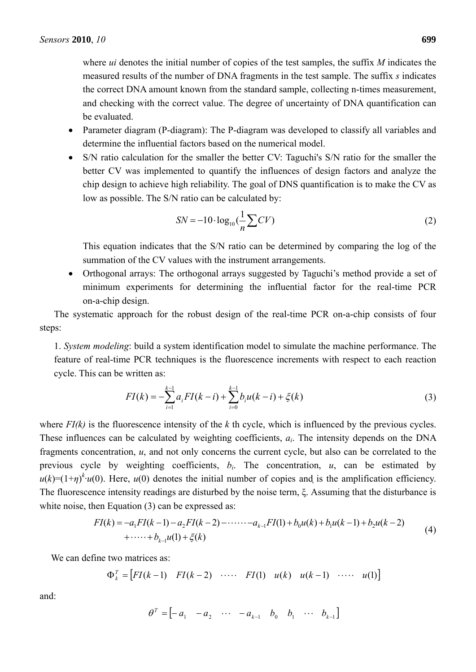where *ui* denotes the initial number of copies of the test samples, the suffix *M* indicates the measured results of the number of DNA fragments in the test sample. The suffix *s* indicates the correct DNA amount known from the standard sample, collecting n-times measurement, and checking with the correct value. The degree of uncertainty of DNA quantification can be evaluated.

- Parameter diagram (P-diagram): The P-diagram was developed to classify all variables and determine the influential factors based on the numerical model.
- S/N ratio calculation for the smaller the better CV: Taguchi's S/N ratio for the smaller the better CV was implemented to quantify the influences of design factors and analyze the chip design to achieve high reliability. The goal of DNS quantification is to make the CV as low as possible. The S/N ratio can be calculated by:

$$
SN = -10 \cdot \log_{10} \left(\frac{1}{n} \sum CV\right) \tag{2}
$$

This equation indicates that the S/N ratio can be determined by comparing the log of the summation of the CV values with the instrument arrangements.

• Orthogonal arrays: The orthogonal arrays suggested by Taguchi's method provide a set of minimum experiments for determining the influential factor for the real-time PCR on-a-chip design.

The systematic approach for the robust design of the real-time PCR on-a-chip consists of four steps:

1. *System modeling*: build a system identification model to simulate the machine performance. The feature of real-time PCR techniques is the fluorescence increments with respect to each reaction cycle. This can be written as:

$$
FI(k) = -\sum_{i=1}^{k-1} a_i FI(k-i) + \sum_{i=0}^{k-1} b_i u(k-i) + \xi(k)
$$
\n(3)

where *FI(k)* is the fluorescence intensity of the *k* th cycle, which is influenced by the previous cycles. These influences can be calculated by weighting coefficients, *ai*. The intensity depends on the DNA fragments concentration, *u*, and not only concerns the current cycle, but also can be correlated to the previous cycle by weighting coefficients,  $b_i$ . The concentration,  $u$ , can be estimated by  $u(k)=(1+\eta)^k \cdot u(0)$ . Here,  $u(0)$  denotes the initial number of copies and is the amplification efficiency. The fluorescence intensity readings are disturbed by the noise term, ξ. Assuming that the disturbance is white noise, then Equation (3) can be expressed as:

$$
FI(k) = -a_1FI(k-1) - a_2FI(k-2) - \cdots - a_{k-1}FI(1) + b_0u(k) + b_1u(k-1) + b_2u(k-2) + \cdots + b_{k-1}u(1) + \xi(k)
$$
\n
$$
(4)
$$

We can define two matrices as:

$$
\Phi_k^T = [FI(k-1) \quad FI(k-2) \quad \cdots \quad FI(1) \quad u(k) \quad u(k-1) \quad \cdots \quad u(1)]
$$

and:

$$
\theta^T = \begin{bmatrix} -a_1 & -a_2 & \cdots & -a_{k-1} & b_0 & b_1 & \cdots & b_{k-1} \end{bmatrix}
$$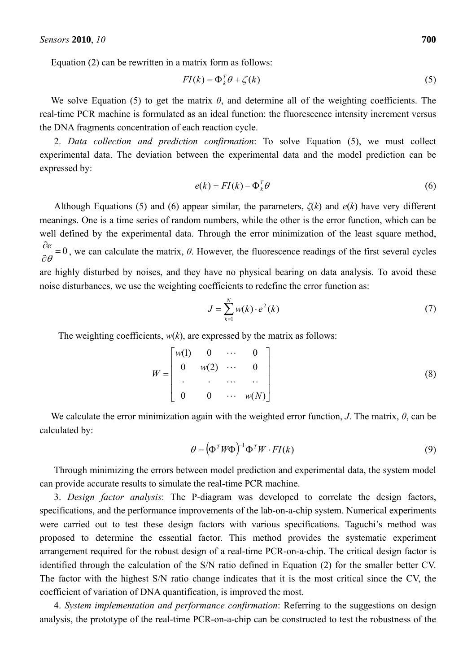Equation (2) can be rewritten in a matrix form as follows:

$$
FI(k) = \Phi_k^T \theta + \zeta(k) \tag{5}
$$

We solve Equation (5) to get the matrix  $\theta$ , and determine all of the weighting coefficients. The real-time PCR machine is formulated as an ideal function: the fluorescence intensity increment versus the DNA fragments concentration of each reaction cycle.

2. *Data collection and prediction confirmation*: To solve Equation (5), we must collect experimental data. The deviation between the experimental data and the model prediction can be expressed by:

$$
e(k) = FI(k) - \Phi_k^T \theta \tag{6}
$$

Although Equations (5) and (6) appear similar, the parameters, *ζ*(*k*) and *e*(*k*) have very different meanings. One is a time series of random numbers, while the other is the error function, which can be well defined by the experimental data. Through the error minimization of the least square method,  $= 0$ ∂ ∂  $\frac{\partial e}{\partial \theta} = 0$ , we can calculate the matrix,  $\theta$ . However, the fluorescence readings of the first several cycles are highly disturbed by noises, and they have no physical bearing on data analysis. To avoid these noise disturbances, we use the weighting coefficients to redefine the error function as:

$$
J = \sum_{k=1}^{N} w(k) \cdot e^2(k) \tag{7}
$$

The weighting coefficients,  $w(k)$ , are expressed by the matrix as follows:

$$
W = \begin{bmatrix} w(1) & 0 & \cdots & 0 \\ 0 & w(2) & \cdots & 0 \\ \vdots & \vdots & \cdots & \vdots \\ 0 & 0 & \cdots & w(N) \end{bmatrix}
$$
 (8)

We calculate the error minimization again with the weighted error function, *J*. The matrix, *θ*, can be calculated by:

$$
\theta = (\Phi^T W \Phi)^{-1} \Phi^T W \cdot FI(k)
$$
\n(9)

Through minimizing the errors between model prediction and experimental data, the system model can provide accurate results to simulate the real-time PCR machine.

3. *Design factor analysis*: The P-diagram was developed to correlate the design factors, specifications, and the performance improvements of the lab-on-a-chip system. Numerical experiments were carried out to test these design factors with various specifications. Taguchi's method was proposed to determine the essential factor. This method provides the systematic experiment arrangement required for the robust design of a real-time PCR-on-a-chip. The critical design factor is identified through the calculation of the S/N ratio defined in Equation (2) for the smaller better CV. The factor with the highest S/N ratio change indicates that it is the most critical since the CV, the coefficient of variation of DNA quantification, is improved the most.

4. *System implementation and performance confirmation*: Referring to the suggestions on design analysis, the prototype of the real-time PCR-on-a-chip can be constructed to test the robustness of the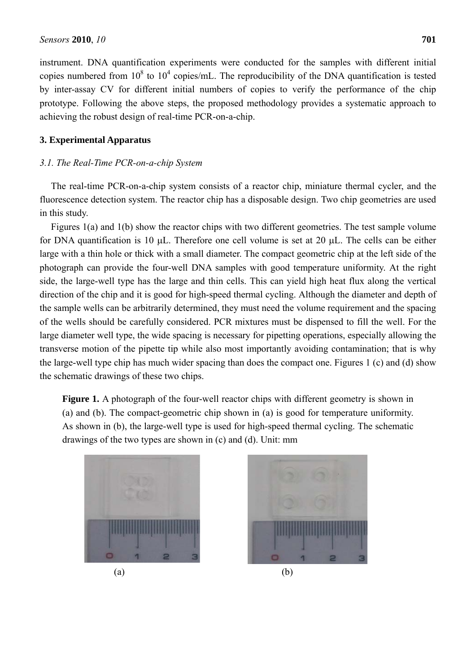instrument. DNA quantification experiments were conducted for the samples with different initial copies numbered from  $10^8$  to  $10^4$  copies/mL. The reproducibility of the DNA quantification is tested by inter-assay CV for different initial numbers of copies to verify the performance of the chip prototype. Following the above steps, the proposed methodology provides a systematic approach to achieving the robust design of real-time PCR-on-a-chip.

# **3. Experimental Apparatus**

# *3.1. The Real-Time PCR-on-a-chip System*

The real-time PCR-on-a-chip system consists of a reactor chip, miniature thermal cycler, and the fluorescence detection system. The reactor chip has a disposable design. Two chip geometries are used in this study.

Figures 1(a) and 1(b) show the reactor chips with two different geometries. The test sample volume for DNA quantification is 10 μL. Therefore one cell volume is set at 20 μL. The cells can be either large with a thin hole or thick with a small diameter. The compact geometric chip at the left side of the photograph can provide the four-well DNA samples with good temperature uniformity. At the right side, the large-well type has the large and thin cells. This can yield high heat flux along the vertical direction of the chip and it is good for high-speed thermal cycling. Although the diameter and depth of the sample wells can be arbitrarily determined, they must need the volume requirement and the spacing of the wells should be carefully considered. PCR mixtures must be dispensed to fill the well. For the large diameter well type, the wide spacing is necessary for pipetting operations, especially allowing the transverse motion of the pipette tip while also most importantly avoiding contamination; that is why the large-well type chip has much wider spacing than does the compact one. Figures 1 (c) and (d) show the schematic drawings of these two chips.

**Figure 1.** A photograph of the four-well reactor chips with different geometry is shown in (a) and (b). The compact-geometric chip shown in (a) is good for temperature uniformity. As shown in (b), the large-well type is used for high-speed thermal cycling. The schematic drawings of the two types are shown in (c) and (d). Unit: mm



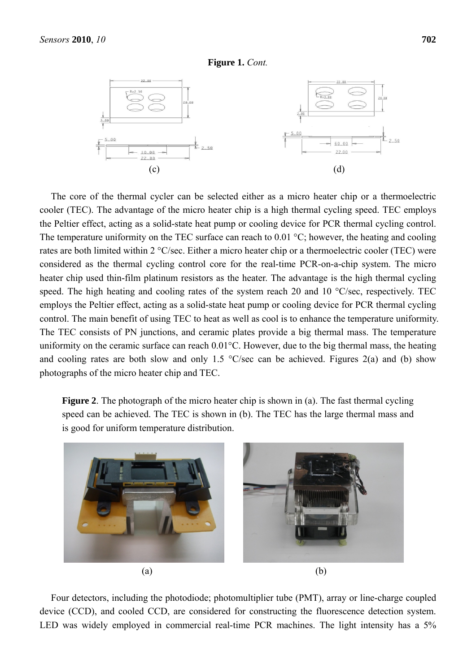#### **Figure 1.** *Cont.*



The core of the thermal cycler can be selected either as a micro heater chip or a thermoelectric cooler (TEC). The advantage of the micro heater chip is a high thermal cycling speed. TEC employs the Peltier effect, acting as a solid-state heat pump or cooling device for PCR thermal cycling control. The temperature uniformity on the TEC surface can reach to 0.01 °C; however, the heating and cooling rates are both limited within 2 °C/sec. Either a micro heater chip or a thermoelectric cooler (TEC) were considered as the thermal cycling control core for the real-time PCR-on-a-chip system. The micro heater chip used thin-film platinum resistors as the heater. The advantage is the high thermal cycling speed. The high heating and cooling rates of the system reach 20 and 10 °C/sec, respectively. TEC employs the Peltier effect, acting as a solid-state heat pump or cooling device for PCR thermal cycling control. The main benefit of using TEC to heat as well as cool is to enhance the temperature uniformity. The TEC consists of PN junctions, and ceramic plates provide a big thermal mass. The temperature uniformity on the ceramic surface can reach 0.01°C. However, due to the big thermal mass, the heating and cooling rates are both slow and only 1.5  $\degree$ C/sec can be achieved. Figures 2(a) and (b) show photographs of the micro heater chip and TEC.

**Figure 2**. The photograph of the micro heater chip is shown in (a). The fast thermal cycling speed can be achieved. The TEC is shown in (b). The TEC has the large thermal mass and is good for uniform temperature distribution.



Four detectors, including the photodiode; photomultiplier tube (PMT), array or line-charge coupled device (CCD), and cooled CCD, are considered for constructing the fluorescence detection system. LED was widely employed in commercial real-time PCR machines. The light intensity has a 5%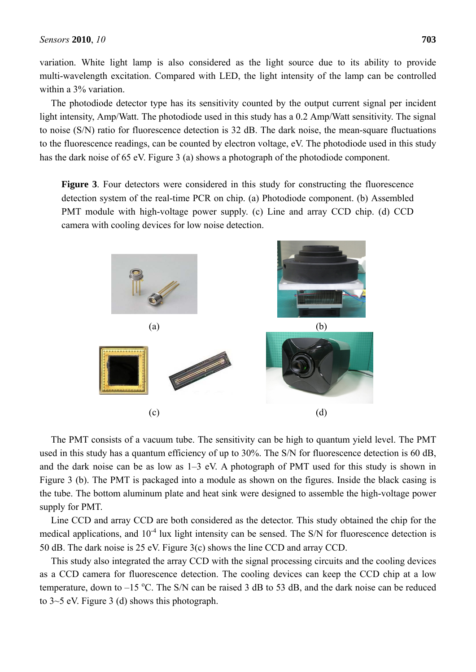variation. White light lamp is also considered as the light source due to its ability to provide multi-wavelength excitation. Compared with LED, the light intensity of the lamp can be controlled within a 3% variation.

The photodiode detector type has its sensitivity counted by the output current signal per incident light intensity, Amp/Watt. The photodiode used in this study has a 0.2 Amp/Watt sensitivity. The signal to noise (S/N) ratio for fluorescence detection is 32 dB. The dark noise, the mean-square fluctuations to the fluorescence readings, can be counted by electron voltage, eV. The photodiode used in this study has the dark noise of 65 eV. Figure 3 (a) shows a photograph of the photodiode component.

**Figure 3**. Four detectors were considered in this study for constructing the fluorescence detection system of the real-time PCR on chip. (a) Photodiode component. (b) Assembled PMT module with high-voltage power supply. (c) Line and array CCD chip. (d) CCD camera with cooling devices for low noise detection.



The PMT consists of a vacuum tube. The sensitivity can be high to quantum yield level. The PMT used in this study has a quantum efficiency of up to 30%. The S/N for fluorescence detection is 60 dB, and the dark noise can be as low as 1–3 eV. A photograph of PMT used for this study is shown in Figure 3 (b). The PMT is packaged into a module as shown on the figures. Inside the black casing is the tube. The bottom aluminum plate and heat sink were designed to assemble the high-voltage power supply for PMT.

Line CCD and array CCD are both considered as the detector. This study obtained the chip for the medical applications, and  $10^{-4}$  lux light intensity can be sensed. The S/N for fluorescence detection is 50 dB. The dark noise is 25 eV. Figure 3(c) shows the line CCD and array CCD.

This study also integrated the array CCD with the signal processing circuits and the cooling devices as a CCD camera for fluorescence detection. The cooling devices can keep the CCD chip at a low temperature, down to  $-15$  °C. The S/N can be raised 3 dB to 53 dB, and the dark noise can be reduced to 3~5 eV. Figure 3 (d) shows this photograph.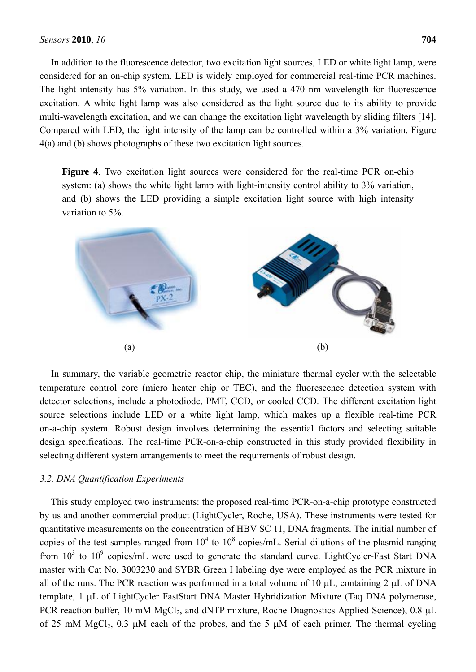In addition to the fluorescence detector, two excitation light sources, LED or white light lamp, were considered for an on-chip system. LED is widely employed for commercial real-time PCR machines. The light intensity has 5% variation. In this study, we used a 470 nm wavelength for fluorescence excitation. A white light lamp was also considered as the light source due to its ability to provide multi-wavelength excitation, and we can change the excitation light wavelength by sliding filters [14]. Compared with LED, the light intensity of the lamp can be controlled within a 3% variation. Figure 4(a) and (b) shows photographs of these two excitation light sources.

**Figure 4**. Two excitation light sources were considered for the real-time PCR on-chip system: (a) shows the white light lamp with light-intensity control ability to 3% variation, and (b) shows the LED providing a simple excitation light source with high intensity variation to 5%.



In summary, the variable geometric reactor chip, the miniature thermal cycler with the selectable temperature control core (micro heater chip or TEC), and the fluorescence detection system with detector selections, include a photodiode, PMT, CCD, or cooled CCD. The different excitation light source selections include LED or a white light lamp, which makes up a flexible real-time PCR on-a-chip system. Robust design involves determining the essential factors and selecting suitable design specifications. The real-time PCR-on-a-chip constructed in this study provided flexibility in selecting different system arrangements to meet the requirements of robust design.

#### *3.2. DNA Quantification Experiments*

This study employed two instruments: the proposed real-time PCR-on-a-chip prototype constructed by us and another commercial product (LightCycler, Roche, USA). These instruments were tested for quantitative measurements on the concentration of HBV SC 11, DNA fragments. The initial number of copies of the test samples ranged from  $10^4$  to  $10^8$  copies/mL. Serial dilutions of the plasmid ranging from  $10^3$  to  $10^9$  copies/mL were used to generate the standard curve. LightCycler-Fast Start DNA master with Cat No. 3003230 and SYBR Green I labeling dye were employed as the PCR mixture in all of the runs. The PCR reaction was performed in a total volume of 10 μL, containing 2 μL of DNA template, 1 μL of LightCycler FastStart DNA Master Hybridization Mixture (Taq DNA polymerase, PCR reaction buffer, 10 mM  $MgCl<sub>2</sub>$ , and dNTP mixture, Roche Diagnostics Applied Science), 0.8  $\mu$ L of 25 mM MgCl<sub>2</sub>, 0.3  $\mu$ M each of the probes, and the 5  $\mu$ M of each primer. The thermal cycling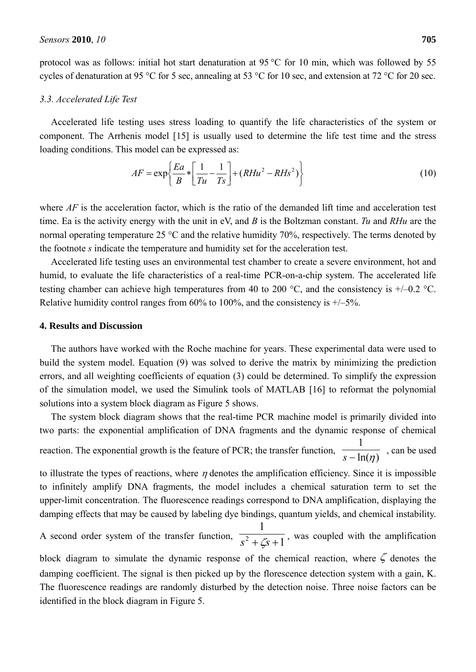protocol was as follows: initial hot start denaturation at 95 °C for 10 min, which was followed by 55 cycles of denaturation at 95 °C for 5 sec, annealing at 53 °C for 10 sec, and extension at 72 °C for 20 sec.

#### *3.3. Accelerated Life Test*

Accelerated life testing uses stress loading to quantify the life characteristics of the system or component. The Arrhenis model [15] is usually used to determine the life test time and the stress loading conditions. This model can be expressed as:

$$
AF = \exp\left\{\frac{Ea}{B} * \left[\frac{1}{Tu} - \frac{1}{Ts}\right] + (RHu^2 - RHS^2)\right\}
$$
 (10)

where *AF* is the acceleration factor, which is the ratio of the demanded lift time and acceleration test time. Ea is the activity energy with the unit in eV, and *B* is the Boltzman constant. *Tu* and *RHu* are the normal operating temperature 25 °C and the relative humidity 70%, respectively. The terms denoted by the footnote *s* indicate the temperature and humidity set for the acceleration test.

Accelerated life testing uses an environmental test chamber to create a severe environment, hot and humid, to evaluate the life characteristics of a real-time PCR-on-a-chip system. The accelerated life testing chamber can achieve high temperatures from 40 to 200 °C, and the consistency is +/–0.2 °C. Relative humidity control ranges from 60% to 100%, and the consistency is  $+/-5$ %.

#### **4. Results and Discussion**

The authors have worked with the Roche machine for years. These experimental data were used to build the system model. Equation (9) was solved to derive the matrix by minimizing the prediction errors, and all weighting coefficients of equation (3) could be determined. To simplify the expression of the simulation model, we used the Simulink tools of MATLAB [16] to reformat the polynomial solutions into a system block diagram as Figure 5 shows.

The system block diagram shows that the real-time PCR machine model is primarily divided into two parts: the exponential amplification of DNA fragments and the dynamic response of chemical reaction. The exponential growth is the feature of PCR; the transfer function,  $\frac{1}{s - \ln(\eta)}$ 1  $\frac{1}{s - \ln(\eta)}$ , can be used to illustrate the types of reactions, where  $\eta$  denotes the amplification efficiency. Since it is impossible to infinitely amplify DNA fragments, the model includes a chemical saturation term to set the upper-limit concentration. The fluorescence readings correspond to DNA amplification, displaying the damping effects that may be caused by labeling dye bindings, quantum yields, and chemical instability. A second order system of the transfer function,  $\sqrt{s^2 + \zeta s + 1}$ 1  $\sqrt{s^2 + \zeta s + 1}$ , was coupled with the amplification

block diagram to simulate the dynamic response of the chemical reaction, where  $\zeta$  denotes the damping coefficient. The signal is then picked up by the florescence detection system with a gain, K. The fluorescence readings are randomly disturbed by the detection noise. Three noise factors can be identified in the block diagram in Figure 5.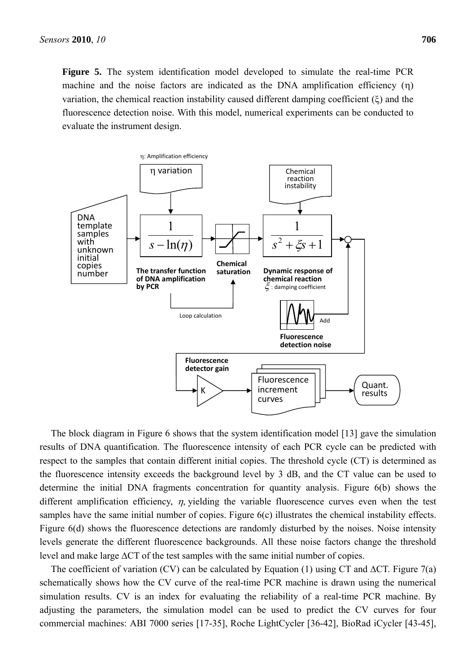**Figure 5.** The system identification model developed to simulate the real-time PCR machine and the noise factors are indicated as the DNA amplification efficiency (n) variation, the chemical reaction instability caused different damping coefficient (ξ) and the fluorescence detection noise. With this model, numerical experiments can be conducted to evaluate the instrument design.



The block diagram in Figure 6 shows that the system identification model [13] gave the simulation results of DNA quantification. The fluorescence intensity of each PCR cycle can be predicted with respect to the samples that contain different initial copies. The threshold cycle (CT) is determined as the fluorescence intensity exceeds the background level by 3 dB, and the CT value can be used to determine the initial DNA fragments concentration for quantity analysis. Figure 6(b) shows the different amplification efficiency,  $\eta$ , yielding the variable fluorescence curves even when the test samples have the same initial number of copies. Figure 6(c) illustrates the chemical instability effects. Figure 6(d) shows the fluorescence detections are randomly disturbed by the noises. Noise intensity levels generate the different fluorescence backgrounds. All these noise factors change the threshold level and make large ΔCT of the test samples with the same initial number of copies.

The coefficient of variation (CV) can be calculated by Equation (1) using CT and  $\Delta$ CT. Figure 7(a) schematically shows how the CV curve of the real-time PCR machine is drawn using the numerical simulation results. CV is an index for evaluating the reliability of a real-time PCR machine. By adjusting the parameters, the simulation model can be used to predict the CV curves for four commercial machines: ABI 7000 series [17-35], Roche LightCycler [36-42], BioRad iCycler [43-45],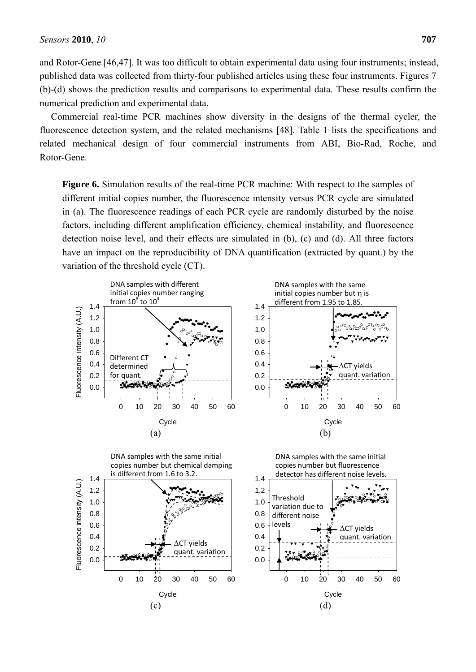and Rotor-Gene [46,47]. It was too difficult to obtain experimental data using four instruments; instead, published data was collected from thirty-four published articles using these four instruments. Figures 7 (b)-(d) shows the prediction results and comparisons to experimental data. These results confirm the numerical prediction and experimental data.

Commercial real-time PCR machines show diversity in the designs of the thermal cycler, the fluorescence detection system, and the related mechanisms [48]. Table 1 lists the specifications and related mechanical design of four commercial instruments from ABI, Bio-Rad, Roche, and Rotor-Gene.

**Figure 6.** Simulation results of the real-time PCR machine: With respect to the samples of different initial copies number, the fluorescence intensity versus PCR cycle are simulated in (a). The fluorescence readings of each PCR cycle are randomly disturbed by the noise factors, including different amplification efficiency, chemical instability, and fluorescence detection noise level, and their effects are simulated in (b), (c) and (d). All three factors have an impact on the reproducibility of DNA quantification (extracted by quant.) by the variation of the threshold cycle (CT).







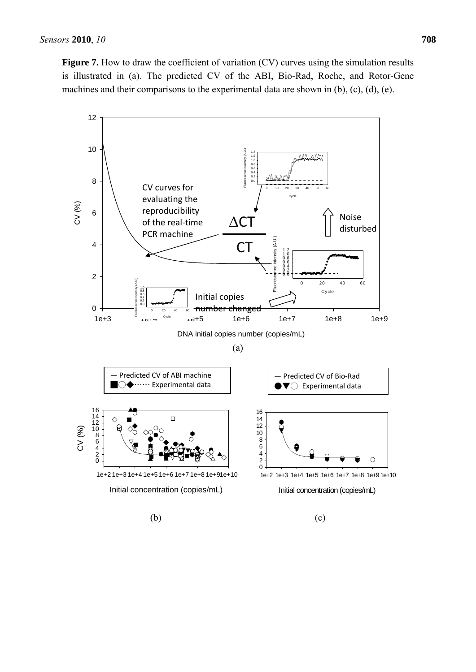Figure 7. How to draw the coefficient of variation (CV) curves using the simulation results is illustrated in (a). The predicted CV of the ABI, Bio-Rad, Roche, and Rotor-Gene machines and their comparisons to the experimental data are shown in (b), (c), (d), (e).



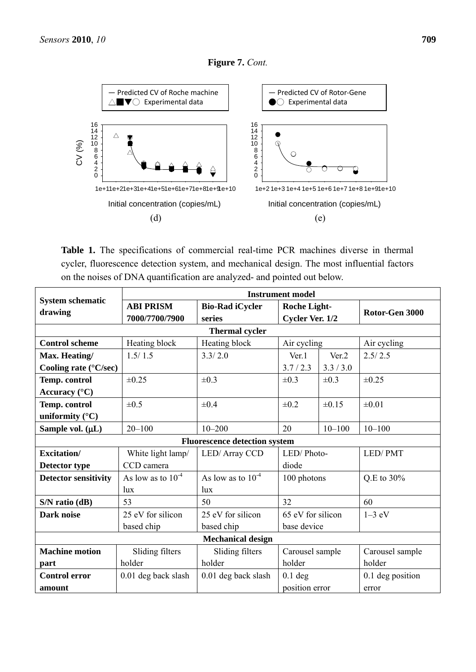

**Table 1.** The specifications of commercial real-time PCR machines diverse in thermal cycler, fluorescence detection system, and mechanical design. The most influential factors on the noises of DNA quantification are analyzed- and pointed out below.

|                                      | <b>Instrument model</b> |                        |                                 |            |                  |  |  |
|--------------------------------------|-------------------------|------------------------|---------------------------------|------------|------------------|--|--|
| <b>System schematic</b>              | <b>ABI PRISM</b>        | <b>Bio-Rad iCycler</b> | Roche Light-<br>Cycler Ver. 1/2 |            | Rotor-Gen 3000   |  |  |
| drawing                              | 7000/7700/7900          | series                 |                                 |            |                  |  |  |
| <b>Thermal cycler</b>                |                         |                        |                                 |            |                  |  |  |
| <b>Control scheme</b>                | Heating block           | Heating block          | Air cycling                     |            | Air cycling      |  |  |
| Max. Heating/                        | 1.5/1.5                 | 3.3/2.0                | Ver.1<br>Ver.2                  |            | 2.5/2.5          |  |  |
| Cooling rate (°C/sec)                |                         |                        | 3.7/2.3                         | 3.3 / 3.0  |                  |  |  |
| Temp. control                        | $\pm 0.25$              | $\pm 0.3$              | $\pm 0.3$                       | $\pm 0.3$  | $\pm 0.25$       |  |  |
| Accuracy $(^{\circ}C)$               |                         |                        |                                 |            |                  |  |  |
| Temp. control                        | $\pm 0.5$               | $\pm 0.4$              | $\pm 0.2$                       | $\pm 0.15$ | $\pm 0.01$       |  |  |
| uniformity $(^{\circ}C)$             |                         |                        |                                 |            |                  |  |  |
| Sample vol. $(\mu L)$                | $20 - 100$              | $10 - 200$             | 20                              | $10 - 100$ | $10 - 100$       |  |  |
| <b>Fluorescence detection system</b> |                         |                        |                                 |            |                  |  |  |
| Excitation/                          | White light lamp/       | LED/Array CCD          | LED/Photo-<br><b>LED/PMT</b>    |            |                  |  |  |
| Detector type                        | CCD camera              |                        | diode                           |            |                  |  |  |
| <b>Detector sensitivity</b>          | As low as to $10^{-4}$  | As low as to $10^{-4}$ | 100 photons                     |            | Q.E to $30\%$    |  |  |
|                                      | lux.                    | lux                    |                                 |            |                  |  |  |
| $S/N$ ratio (dB)                     | 53                      | 50                     | 32                              |            | 60               |  |  |
| Dark noise                           | 25 eV for silicon       | 25 eV for silicon      | 65 eV for silicon               |            | $1-3$ eV         |  |  |
|                                      | based chip              | based chip             | base device                     |            |                  |  |  |
| <b>Mechanical design</b>             |                         |                        |                                 |            |                  |  |  |
| <b>Machine motion</b>                | Sliding filters         | Sliding filters        | Carousel sample                 |            | Carousel sample  |  |  |
| part                                 | holder                  | holder                 | holder<br>holder                |            |                  |  |  |
| <b>Control error</b>                 | 0.01 deg back slash     | 0.01 deg back slash    | $0.1$ deg                       |            | 0.1 deg position |  |  |
| amount                               |                         |                        | position error<br>error         |            |                  |  |  |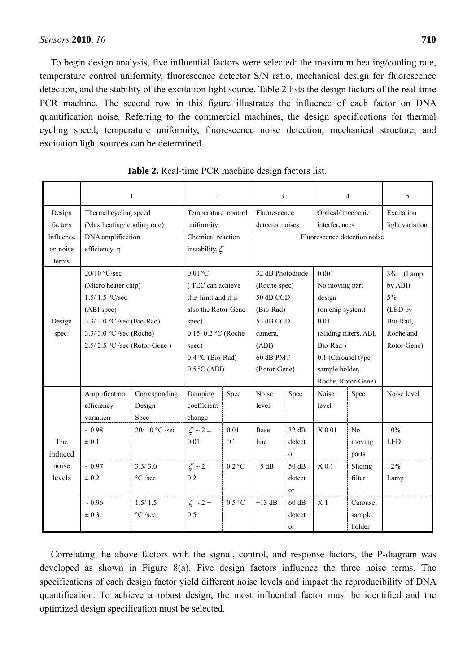To begin design analysis, five influential factors were selected: the maximum heating/cooling rate, temperature control uniformity, fluorescence detector S/N ratio, mechanical design for fluorescence detection, and the stability of the excitation light source. Table 2 lists the design factors of the real-time PCR machine. The second row in this figure illustrates the influence of each factor on DNA quantification noise. Referring to the commercial machines, the design specifications for thermal cycling speed, temperature uniformity, fluorescence noise detection, mechanical structure, and excitation light sources can be determined.

|           | 1                              |                      | 2                       |                 | 3                                |                              | $\overline{4}$         |                 | 5           |
|-----------|--------------------------------|----------------------|-------------------------|-----------------|----------------------------------|------------------------------|------------------------|-----------------|-------------|
| Design    | Thermal cycling speed          |                      | Temperature control     |                 | Fluorescence                     |                              | Optical/mechanic       |                 | Excitation  |
| factors   | (Max heating/cooling rate)     |                      | uniformity              |                 | interferences<br>detector noises |                              |                        | light variation |             |
| Influence | DNA amplification              |                      | Chemical reaction       |                 |                                  | Fluorescence detection noise |                        |                 |             |
| on noise  | efficiency, η                  |                      | instability, $\zeta$    |                 |                                  |                              |                        |                 |             |
| terms     |                                |                      |                         |                 |                                  |                              |                        |                 |             |
|           | $20/10$ °C/sec                 |                      | $0.01\text{ °C}$        |                 | 32 dB Photodiode                 |                              | 0.001                  |                 | $3\%$ (Lamp |
|           | (Micro heater chip)            |                      | (TEC can achieve        |                 | (Roche spec)                     |                              | No moving part         |                 | by ABI)     |
|           | 1.5/1.5 °C/sec                 |                      | this limit and it is    |                 | 50 dB CCD                        |                              | design                 |                 | 5%          |
|           | (ABI spec)                     |                      | also the Rotor-Gene     |                 | (Bio-Rad)                        |                              | (on chip system)       |                 | (LED by     |
| Design    | $3.3/2.0$ °C /sec (Bio-Rad)    |                      | spec)                   |                 | 53 dB CCD                        |                              | 0.01                   |                 | Bio-Rad.    |
| spec.     | $3.3/3.0$ °C /sec (Roche)      |                      | 0.15-0.2 °C (Roche      |                 | camera,                          |                              | (Sliding filters, ABI, |                 | Roche and   |
|           | $2.5/2.5$ °C /sec (Rotor-Gene) |                      | spec)                   |                 | (ABI)                            |                              | Bio-Rad)               |                 | Rotor-Gene) |
|           |                                |                      | $0.4$ °C (Bio-Rad)      |                 | 60 dB PMT                        |                              | 0.1 (Carousel type     |                 |             |
|           |                                |                      | $0.5\,^{\circ}$ C (ABI) | (Rotor-Gene)    |                                  |                              | sample holder,         |                 |             |
|           |                                |                      |                         |                 |                                  |                              | Roche, Rotor-Gene)     |                 |             |
|           | Amplification                  | Corresponding        | Damping                 | Spec            | Noise                            | Spec                         | Noise                  | Spec            | Noise level |
|           | efficiency                     | Design               | coefficient             |                 | level                            |                              | level                  |                 |             |
|           | variation                      | <b>Spec</b>          | change                  |                 |                                  |                              |                        |                 |             |
|           | ~10.98                         | 20/10 °C /sec        | $\zeta \sim 2 \pm$      | 0.01            | Base                             | 32 dB                        | $X$ 0.01               | N <sub>o</sub>  | $+0\%$      |
| The       | $\pm 0.1$                      |                      | 0.01                    | $\rm ^{\circ}C$ | line                             | detect                       |                        | moving          | <b>LED</b>  |
| induced   |                                |                      |                         |                 |                                  | or                           |                        | parts           |             |
| noise     | $\sim 0.97$                    | 3.3/3.0              | $\zeta \sim 2 \pm$      | $0.2\degree C$  | $-5$ dB                          | 50 dB                        | $X$ 0.1                | Sliding         | $-2%$       |
| levels    | $\pm 0.2$                      | $\rm ^{\circ}C$ /sec | 0.2                     |                 |                                  | detect                       |                        | filter          | Lamp        |
|           |                                |                      |                         |                 |                                  | or                           |                        |                 |             |
|           | $\sim 0.96$                    | 1.5/1.5              | $\zeta \sim 2 \pm$      | 0.5 °C          | $-13$ dB                         | 60 dB                        | X <sub>1</sub>         | Carousel        |             |
|           | $\pm 0.3$                      | $\rm ^{\circ}C$ /sec | 0.5                     |                 |                                  | detect                       |                        | sample          |             |
|           |                                |                      |                         |                 |                                  | or                           |                        | holder          |             |

**Table 2.** Real-time PCR machine design factors list.

Correlating the above factors with the signal, control, and response factors, the P-diagram was developed as shown in Figure 8(a). Five design factors influence the three noise terms. The specifications of each design factor yield different noise levels and impact the reproducibility of DNA quantification. To achieve a robust design, the most influential factor must be identified and the optimized design specification must be selected.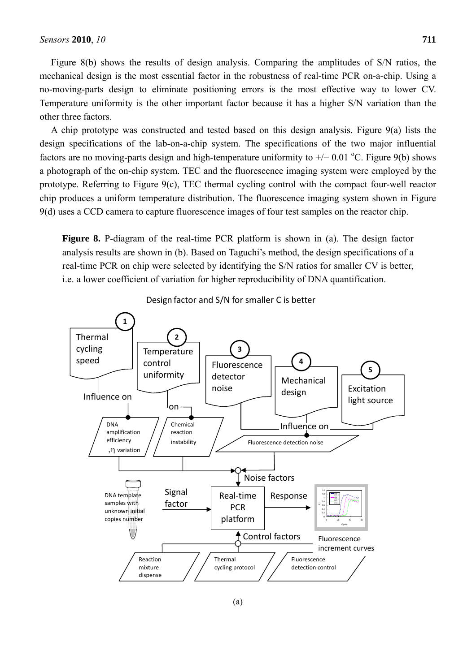Figure 8(b) shows the results of design analysis. Comparing the amplitudes of S/N ratios, the mechanical design is the most essential factor in the robustness of real-time PCR on-a-chip. Using a no-moving-parts design to eliminate positioning errors is the most effective way to lower CV. Temperature uniformity is the other important factor because it has a higher S/N variation than the other three factors.

A chip prototype was constructed and tested based on this design analysis. Figure 9(a) lists the design specifications of the lab-on-a-chip system. The specifications of the two major influential factors are no moving-parts design and high-temperature uniformity to  $+/- 0.01$  °C. Figure 9(b) shows a photograph of the on-chip system. TEC and the fluorescence imaging system were employed by the prototype. Referring to Figure 9(c), TEC thermal cycling control with the compact four-well reactor chip produces a uniform temperature distribution. The fluorescence imaging system shown in Figure 9(d) uses a CCD camera to capture fluorescence images of four test samples on the reactor chip.

**Figure 8.** P-diagram of the real-time PCR platform is shown in (a). The design factor analysis results are shown in (b). Based on Taguchi's method, the design specifications of a real-time PCR on chip were selected by identifying the S/N ratios for smaller CV is better, i.e. a lower coefficient of variation for higher reproducibility of DNA quantification.



Design factor and S/N for smaller C is better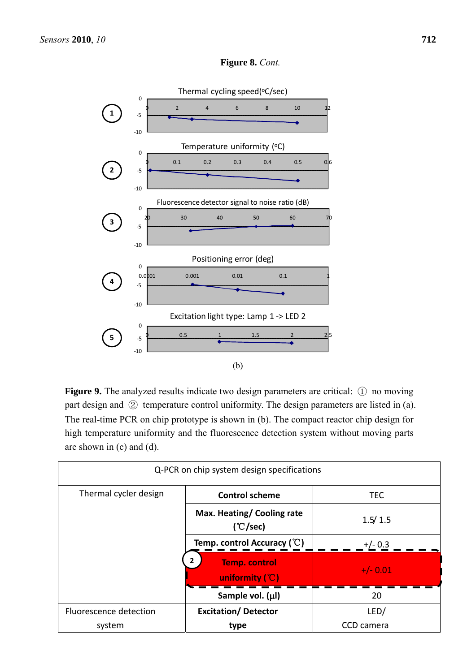### **Figure 8.** *Cont.*



**Figure 9.** The analyzed results indicate two design parameters are critical: ① no moving part design and ② temperature control uniformity. The design parameters are listed in (a). The real-time PCR on chip prototype is shown in (b). The compact reactor chip design for high temperature uniformity and the fluorescence detection system without moving parts are shown in (c) and (d).

| Q-PCR on chip system design specifications |                                                            |            |  |  |  |
|--------------------------------------------|------------------------------------------------------------|------------|--|--|--|
| Thermal cycler design                      | <b>Control scheme</b>                                      | <b>TEC</b> |  |  |  |
|                                            | Max. Heating/Cooling rate<br>(°C/sec)                      | 1.5/1.5    |  |  |  |
|                                            | Temp. control Accuracy ( $\mathbb{C}$ )                    | $+/- 0.3$  |  |  |  |
|                                            | $\overline{2}$<br><b>Temp. control</b><br>uniformity $(C)$ | $+/- 0.01$ |  |  |  |
|                                            | Sample vol. $(\mu I)$                                      | 20         |  |  |  |
| Fluorescence detection                     | <b>Excitation/Detector</b>                                 | LED/       |  |  |  |
| system                                     | type                                                       | CCD camera |  |  |  |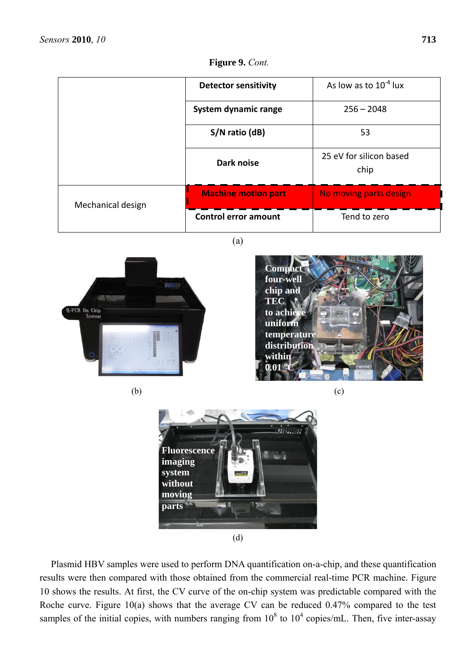|                   | <b>Detector sensitivity</b> | As low as to $10^{-4}$ lux      |
|-------------------|-----------------------------|---------------------------------|
|                   | <b>System dynamic range</b> | $256 - 2048$                    |
|                   | S/N ratio (dB)              | 53                              |
|                   | Dark noise                  | 25 eV for silicon based<br>chip |
| Mechanical design | <b>Machine motion part</b>  | No moving parts design          |
|                   | <b>Control error amount</b> | Tend to zero                    |

(a)







(d)

Plasmid HBV samples were used to perform DNA quantification on-a-chip, and these quantification results were then compared with those obtained from the commercial real-time PCR machine. Figure 10 shows the results. At first, the CV curve of the on-chip system was predictable compared with the Roche curve. Figure 10(a) shows that the average CV can be reduced 0.47% compared to the test samples of the initial copies, with numbers ranging from  $10^8$  to  $10^4$  copies/mL. Then, five inter-assay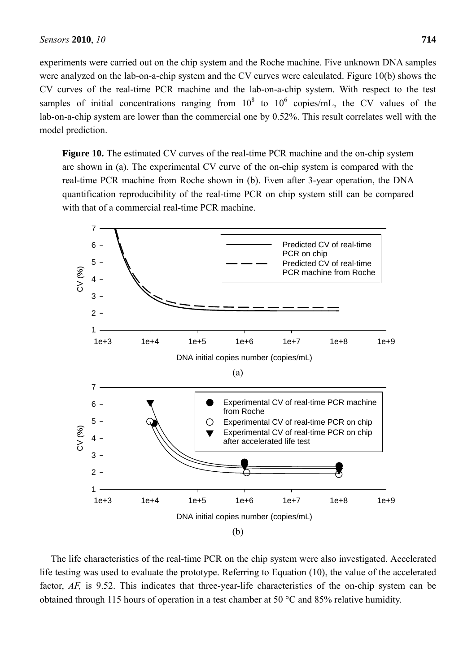experiments were carried out on the chip system and the Roche machine. Five unknown DNA samples were analyzed on the lab-on-a-chip system and the CV curves were calculated. Figure 10(b) shows the CV curves of the real-time PCR machine and the lab-on-a-chip system. With respect to the test samples of initial concentrations ranging from  $10^8$  to  $10^6$  copies/mL, the CV values of the lab-on-a-chip system are lower than the commercial one by 0.52%. This result correlates well with the model prediction.

**Figure 10.** The estimated CV curves of the real-time PCR machine and the on-chip system are shown in (a). The experimental CV curve of the on-chip system is compared with the real-time PCR machine from Roche shown in (b). Even after 3-year operation, the DNA quantification reproducibility of the real-time PCR on chip system still can be compared with that of a commercial real-time PCR machine.



The life characteristics of the real-time PCR on the chip system were also investigated. Accelerated life testing was used to evaluate the prototype. Referring to Equation (10), the value of the accelerated factor, *AF*, is 9.52. This indicates that three-year-life characteristics of the on-chip system can be obtained through 115 hours of operation in a test chamber at 50 °C and 85% relative humidity.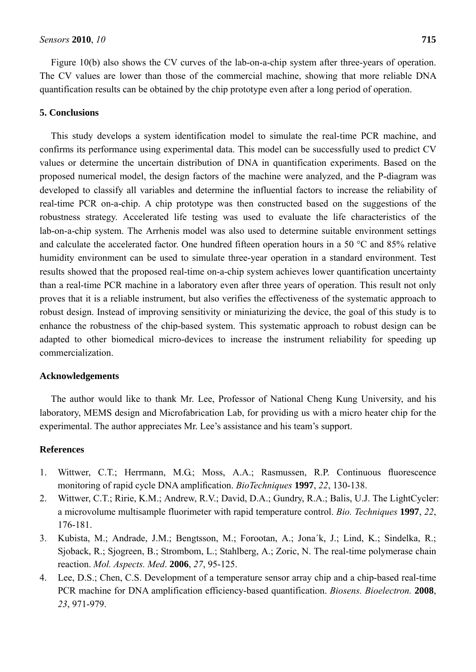Figure 10(b) also shows the CV curves of the lab-on-a-chip system after three-years of operation. The CV values are lower than those of the commercial machine, showing that more reliable DNA quantification results can be obtained by the chip prototype even after a long period of operation.

## **5. Conclusions**

This study develops a system identification model to simulate the real-time PCR machine, and confirms its performance using experimental data. This model can be successfully used to predict CV values or determine the uncertain distribution of DNA in quantification experiments. Based on the proposed numerical model, the design factors of the machine were analyzed, and the P-diagram was developed to classify all variables and determine the influential factors to increase the reliability of real-time PCR on-a-chip. A chip prototype was then constructed based on the suggestions of the robustness strategy. Accelerated life testing was used to evaluate the life characteristics of the lab-on-a-chip system. The Arrhenis model was also used to determine suitable environment settings and calculate the accelerated factor. One hundred fifteen operation hours in a 50 °C and 85% relative humidity environment can be used to simulate three-year operation in a standard environment. Test results showed that the proposed real-time on-a-chip system achieves lower quantification uncertainty than a real-time PCR machine in a laboratory even after three years of operation. This result not only proves that it is a reliable instrument, but also verifies the effectiveness of the systematic approach to robust design. Instead of improving sensitivity or miniaturizing the device, the goal of this study is to enhance the robustness of the chip-based system. This systematic approach to robust design can be adapted to other biomedical micro-devices to increase the instrument reliability for speeding up commercialization.

## **Acknowledgements**

The author would like to thank Mr. Lee, Professor of National Cheng Kung University, and his laboratory, MEMS design and Microfabrication Lab, for providing us with a micro heater chip for the experimental. The author appreciates Mr. Lee's assistance and his team's support.

## **References**

- 1. Wittwer, C.T.; Herrmann, M.G.; Moss, A.A.; Rasmussen, R.P. Continuous fluorescence monitoring of rapid cycle DNA amplification. *BioTechniques* **1997**, *22*, 130-138.
- 2. Wittwer, C.T.; Ririe, K.M.; Andrew, R.V.; David, D.A.; Gundry, R.A.; Balis, U.J. The LightCycler: a microvolume multisample fluorimeter with rapid temperature control. *Bio. Techniques* **1997**, *22*, 176-181.
- 3. Kubista, M.; Andrade, J.M.; Bengtsson, M.; Forootan, A.; Jona´k, J.; Lind, K.; Sindelka, R.; Sjoback, R.; Sjogreen, B.; Strombom, L.; Stahlberg, A.; Zoric, N. The real-time polymerase chain reaction. *Mol. Aspects. Med*. **2006**, *27*, 95-125.
- 4. Lee, D.S.; Chen, C.S. Development of a temperature sensor array chip and a chip-based real-time PCR machine for DNA amplification efficiency-based quantification. *Biosens. Bioelectron.* **2008**, *23*, 971-979.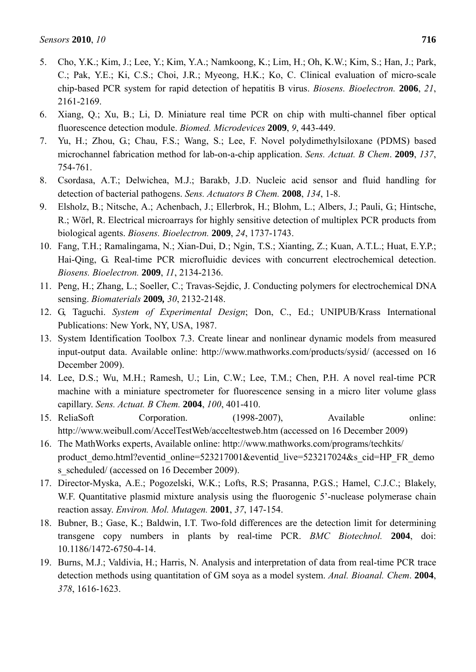- 5. Cho, Y.K.; Kim, J.; Lee, Y.; Kim, Y.A.; Namkoong, K.; Lim, H.; Oh, K.W.; Kim, S.; Han, J.; Park, C.; Pak, Y.E.; Ki, C.S.; Choi, J.R.; Myeong, H.K.; Ko, C. Clinical evaluation of micro-scale chip-based PCR system for rapid detection of hepatitis B virus. *Biosens. Bioelectron.* **2006**, *21*, 2161-2169.
- 6. Xiang, Q.; Xu, B.; Li, D. Miniature real time PCR on chip with multi-channel fiber optical fluorescence detection module. *Biomed. Microdevices* **2009**, *9*, 443-449.
- 7. Yu, H.; Zhou, G.; Chau, F.S.; Wang, S.; Lee, F. Novel polydimethylsiloxane (PDMS) based microchannel fabrication method for lab-on-a-chip application. *Sens. Actuat. B Chem*. **2009**, *137*, 754-761.
- 8. Csordasa, A.T.; Delwichea, M.J.; Barakb, J.D. Nucleic acid sensor and fluid handling for detection of bacterial pathogens. *Sens. Actuators B Chem.* **2008**, *134*, 1-8.
- 9. Elsholz, B.; Nitsche, A.; Achenbach, J.; Ellerbrok, H.; Blohm, L.; Albers, J.; Pauli, G.; Hintsche, R.; Wörl, R. Electrical microarrays for highly sensitive detection of multiplex PCR products from biological agents. *Biosens. Bioelectron.* **2009**, *24*, 1737-1743.
- 10. Fang, T.H.; Ramalingama, N.; Xian-Dui, D.; Ngin, T.S.; Xianting, Z.; Kuan, A.T.L.; Huat, E.Y.P.; Hai-Qing, G. Real-time PCR microfluidic devices with concurrent electrochemical detection. *Biosens. Bioelectron.* **2009**, *11*, 2134-2136.
- 11. Peng, H.; Zhang, L.; Soeller, C.; Travas-Sejdic, J. Conducting polymers for electrochemical DNA sensing. *Biomaterials* **2009***, 30*, 2132-2148.
- 12. G, Taguchi. *System of Experimental Design*; Don, C., Ed.; UNIPUB/Krass International Publications: New York, NY, USA, 1987.
- 13. System Identification Toolbox 7.3. Create linear and nonlinear dynamic models from measured input-output data. Available online: http://www.mathworks.com/products/sysid/ (accessed on 16 December 2009).
- 14. Lee, D.S.; Wu, M.H.; Ramesh, U.; Lin, C.W.; Lee, T.M.; Chen, P.H. A novel real-time PCR machine with a miniature spectrometer for fluorescence sensing in a micro liter volume glass capillary. *Sens. Actuat. B Chem.* **2004**, *100*, 401-410.
- 15. ReliaSoft Corporation. (1998-2007), Available online: http://www.weibull.com/AccelTestWeb/acceltestweb.htm (accessed on 16 December 2009)
- 16. The MathWorks experts, Available online: http://www.mathworks.com/programs/techkits/ product demo.html?eventid\_online=523217001&eventid\_live=523217024&s\_cid=HP\_FR\_demo s\_scheduled/ (accessed on 16 December 2009).
- 17. Director-Myska, A.E.; Pogozelski, W.K.; Lofts, R.S; Prasanna, P.G.S.; Hamel, C.J.C.; Blakely, W.F. Quantitative plasmid mixture analysis using the fluorogenic 5'-nuclease polymerase chain reaction assay. *Environ. Mol. Mutagen.* **2001**, *37*, 147-154.
- 18. Bubner, B.; Gase, K.; Baldwin, I.T. Two-fold differences are the detection limit for determining transgene copy numbers in plants by real-time PCR. *BMC Biotechnol.* **2004**, doi: 10.1186/1472-6750-4-14.
- 19. Burns, M.J.; Valdivia, H.; Harris, N. Analysis and interpretation of data from real-time PCR trace detection methods using quantitation of GM soya as a model system. *Anal. Bioanal. Chem*. **2004**, *378*, 1616-1623.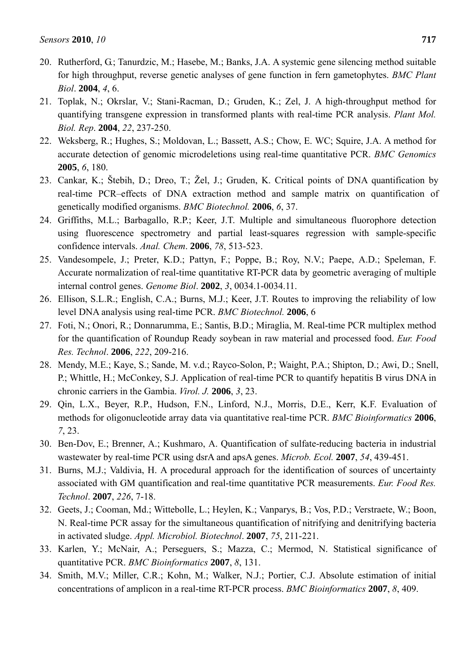- 20. Rutherford, G.; Tanurdzic, M.; Hasebe, M.; Banks, J.A. A systemic gene silencing method suitable for high throughput, reverse genetic analyses of gene function in fern gametophytes. *BMC Plant Biol*. **2004**, *4*, 6.
- 21. Toplak, N.; Okrslar, V.; Stani-Racman, D.; Gruden, K.; Zel, J. A high-throughput method for quantifying transgene expression in transformed plants with real-time PCR analysis. *Plant Mol. Biol. Rep*. **2004**, *22*, 237-250.
- 22. Weksberg, R.; Hughes, S.; Moldovan, L.; Bassett, A.S.; Chow, E. WC; Squire, J.A. A method for accurate detection of genomic microdeletions using real-time quantitative PCR. *BMC Genomics* **2005**, *6*, 180.
- 23. Cankar, K.; Štebih, D.; Dreo, T.; Žel, J.; Gruden, K. Critical points of DNA quantification by real-time PCR–effects of DNA extraction method and sample matrix on quantification of genetically modified organisms. *BMC Biotechnol.* **2006**, *6*, 37.
- 24. Griffiths, M.L.; Barbagallo, R.P.; Keer, J.T. Multiple and simultaneous fluorophore detection using fluorescence spectrometry and partial least-squares regression with sample-specific confidence intervals. *Anal. Chem*. **2006**, *78*, 513-523.
- 25. Vandesompele, J.; Preter, K.D.; Pattyn, F.; Poppe, B.; Roy, N.V.; Paepe, A.D.; Speleman, F. Accurate normalization of real-time quantitative RT-PCR data by geometric averaging of multiple internal control genes. *Genome Biol*. **2002**, *3*, 0034.1-0034.11.
- 26. Ellison, S.L.R.; English, C.A.; Burns, M.J.; Keer, J.T. Routes to improving the reliability of low level DNA analysis using real-time PCR. *BMC Biotechnol.* **2006**, 6
- 27. Foti, N.; Onori, R.; Donnarumma, E.; Santis, B.D.; Miraglia, M. Real-time PCR multiplex method for the quantification of Roundup Ready soybean in raw material and processed food. *Eur. Food Res. Technol*. **2006**, *222*, 209-216.
- 28. Mendy, M.E.; Kaye, S.; Sande, M. v.d.; Rayco-Solon, P.; Waight, P.A.; Shipton, D.; Awi, D.; Snell, P.; Whittle, H.; McConkey, S.J. Application of real-time PCR to quantify hepatitis B virus DNA in chronic carriers in the Gambia. *Virol. J.* **2006**, *3*, 23.
- 29. Qin, L.X., Beyer, R.P., Hudson, F.N., Linford, N.J., Morris, D.E., Kerr, K.F. Evaluation of methods for oligonucleotide array data via quantitative real-time PCR. *BMC Bioinformatics* **2006**, *7*, 23.
- 30. Ben-Dov, E.; Brenner, A.; Kushmaro, A. Quantification of sulfate-reducing bacteria in industrial wastewater by real-time PCR using dsrA and apsA genes. *Microb. Ecol.* **2007**, *54*, 439-451.
- 31. Burns, M.J.; Valdivia, H. A procedural approach for the identification of sources of uncertainty associated with GM quantification and real-time quantitative PCR measurements. *Eur. Food Res. Technol*. **2007**, *226*, 7-18.
- 32. Geets, J.; Cooman, Md.; Wittebolle, L.; Heylen, K.; Vanparys, B.; Vos, P.D.; Verstraete, W.; Boon, N. Real-time PCR assay for the simultaneous quantification of nitrifying and denitrifying bacteria in activated sludge. *Appl. Microbiol. Biotechnol*. **2007**, *75*, 211-221.
- 33. Karlen, Y.; McNair, A.; Perseguers, S.; Mazza, C.; Mermod, N. Statistical significance of quantitative PCR. *BMC Bioinformatics* **2007**, *8*, 131.
- 34. Smith, M.V.; Miller, C.R.; Kohn, M.; Walker, N.J.; Portier, C.J. Absolute estimation of initial concentrations of amplicon in a real-time RT-PCR process. *BMC Bioinformatics* **2007**, *8*, 409.